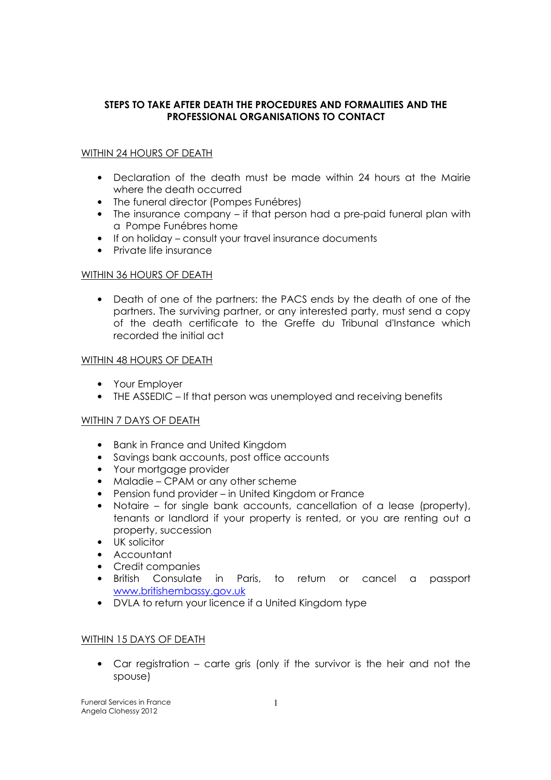# STEPS TO TAKE AFTER DEATH THE PROCEDURES AND FORMALITIES AND THE PROFESSIONAL ORGANISATIONS TO CONTACT

# WITHIN 24 HOURS OF DEATH

- Declaration of the death must be made within 24 hours at the Mairie where the death occurred
- The funeral director (Pompes Funébres)
- The insurance company if that person had a pre-paid funeral plan with a Pompe Funébres home
- If on holiday consult your travel insurance documents
- Private life insurance

# WITHIN 36 HOURS OF DEATH

• Death of one of the partners: the PACS ends by the death of one of the partners. The surviving partner, or any interested party, must send a copy of the death certificate to the Greffe du Tribunal d'Instance which recorded the initial act

## WITHIN 48 HOURS OF DEATH

- Your Employer
- THE ASSEDIC If that person was unemployed and receiving benefits

## WITHIN 7 DAYS OF DEATH

- Bank in France and United Kingdom
- Savings bank accounts, post office accounts
- Your mortgage provider
- Maladie CPAM or any other scheme
- Pension fund provider in United Kingdom or France
- Notaire for single bank accounts, cancellation of a lease (property), tenants or landlord if your property is rented, or you are renting out a property, succession
- UK solicitor
- Accountant
- Credit companies
- British Consulate in Paris, to return or cancel a passport www.britishembassy.gov.uk
- DVLA to return your licence if a United Kingdom type

## WITHIN 15 DAYS OF DEATH

• Car registration – carte gris (only if the survivor is the heir and not the spouse)